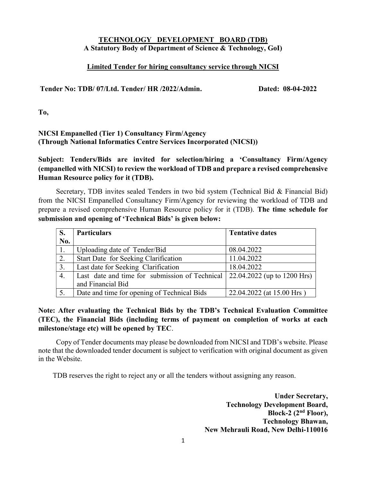### TECHNOLOGY DEVELOPMENT BOARD (TDB) A Statutory Body of Department of Science & Technology, GoI)

#### Limited Tender for hiring consultancy service through NICSI

Tender No: TDB/ 07/Ltd. Tender/ HR /2022/Admin. Dated: 08-04-2022

To,

### NICSI Empanelled (Tier 1) Consultancy Firm/Agency (Through National Informatics Centre Services Incorporated (NICSI))

Subject: Tenders/Bids are invited for selection/hiring a 'Consultancy Firm/Agency (empanelled with NICSI) to review the workload of TDB and prepare a revised comprehensive Human Resource policy for it (TDB).

Secretary, TDB invites sealed Tenders in two bid system (Technical Bid & Financial Bid) from the NICSI Empanelled Consultancy Firm/Agency for reviewing the workload of TDB and prepare a revised comprehensive Human Resource policy for it (TDB). The time schedule for submission and opening of 'Technical Bids' is given below:

|     | <b>Particulars</b>                                                                 | <b>Tentative dates</b>    |
|-----|------------------------------------------------------------------------------------|---------------------------|
| No. |                                                                                    |                           |
| 1.  | Uploading date of Tender/Bid                                                       | 08.04.2022                |
| 2.  | Start Date for Seeking Clarification                                               | 11.04.2022                |
| 3.  | Last date for Seeking Clarification                                                | 18.04.2022                |
| 4.  | Last date and time for submission of Technical $\vert$ 22.04.2022 (up to 1200 Hrs) |                           |
|     | and Financial Bid                                                                  |                           |
| 5.  | Date and time for opening of Technical Bids                                        | 22.04.2022 (at 15.00 Hrs) |

### Note: After evaluating the Technical Bids by the TDB's Technical Evaluation Committee (TEC), the Financial Bids (including terms of payment on completion of works at each milestone/stage etc) will be opened by TEC.

Copy of Tender documents may please be downloaded from NICSI and TDB's website. Please note that the downloaded tender document is subject to verification with original document as given in the Website.

TDB reserves the right to reject any or all the tenders without assigning any reason.

Under Secretary, Technology Development Board, Block-2  $(2<sup>nd</sup> Floor)$ , Technology Bhawan, New Mehrauli Road, New Delhi-110016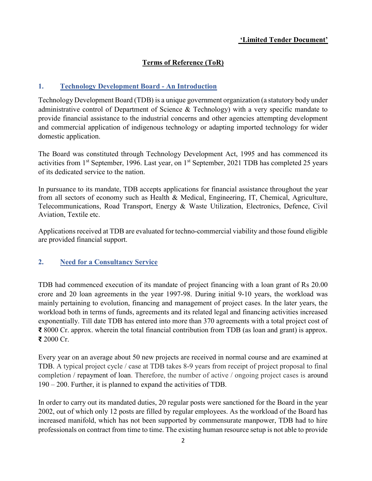### 'Limited Tender Document'

## Terms of Reference (ToR)

### 1. Technology Development Board - An Introduction

Technology Development Board (TDB) is a unique government organization (a statutory body under administrative control of Department of Science & Technology) with a very specific mandate to provide financial assistance to the industrial concerns and other agencies attempting development and commercial application of indigenous technology or adapting imported technology for wider domestic application.

The Board was constituted through Technology Development Act, 1995 and has commenced its activities from 1<sup>st</sup> September, 1996. Last year, on 1<sup>st</sup> September, 2021 TDB has completed 25 years of its dedicated service to the nation.

In pursuance to its mandate, TDB accepts applications for financial assistance throughout the year from all sectors of economy such as Health & Medical, Engineering, IT, Chemical, Agriculture, Telecommunications, Road Transport, Energy & Waste Utilization, Electronics, Defence, Civil Aviation, Textile etc.

Applications received at TDB are evaluated for techno-commercial viability and those found eligible are provided financial support.

### 2. Need for a Consultancy Service

TDB had commenced execution of its mandate of project financing with a loan grant of Rs 20.00 crore and 20 loan agreements in the year 1997-98. During initial 9-10 years, the workload was mainly pertaining to evolution, financing and management of project cases. In the later years, the workload both in terms of funds, agreements and its related legal and financing activities increased exponentially. Till date TDB has entered into more than 370 agreements with a total project cost of ₹ 8000 Cr. approx. wherein the total financial contribution from TDB (as loan and grant) is approx. ₹ 2000 Cr.

Every year on an average about 50 new projects are received in normal course and are examined at TDB. A typical project cycle / case at TDB takes 8-9 years from receipt of project proposal to final completion / repayment of loan. Therefore, the number of active / ongoing project cases is around 190 – 200. Further, it is planned to expand the activities of TDB.

In order to carry out its mandated duties, 20 regular posts were sanctioned for the Board in the year 2002, out of which only 12 posts are filled by regular employees. As the workload of the Board has increased manifold, which has not been supported by commensurate manpower, TDB had to hire professionals on contract from time to time. The existing human resource setup is not able to provide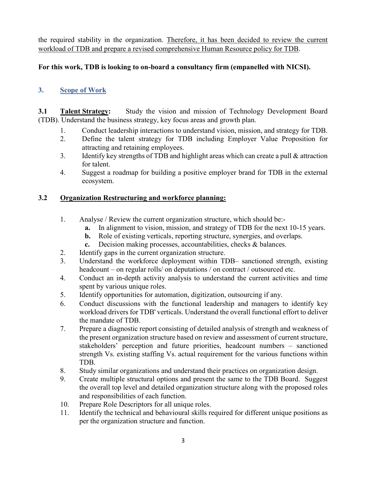the required stability in the organization. Therefore, it has been decided to review the current workload of TDB and prepare a revised comprehensive Human Resource policy for TDB.

### For this work, TDB is looking to on-board a consultancy firm (empanelled with NICSI).

# 3. Scope of Work

3.1 Talent Strategy: Study the vision and mission of Technology Development Board (TDB). Understand the business strategy, key focus areas and growth plan.

- 1. Conduct leadership interactions to understand vision, mission, and strategy for TDB.
- 2. Define the talent strategy for TDB including Employer Value Proposition for attracting and retaining employees.
- 3. Identify key strengths of TDB and highlight areas which can create a pull & attraction for talent.
- 4. Suggest a roadmap for building a positive employer brand for TDB in the external ecosystem.

### 3.2 Organization Restructuring and workforce planning:

- 1. Analyse / Review the current organization structure, which should be:
	- a. In alignment to vision, mission, and strategy of TDB for the next 10-15 years.
	- b. Role of existing verticals, reporting structure, synergies, and overlaps.
	- c. Decision making processes, accountabilities, checks & balances.
- 2. Identify gaps in the current organization structure.
- 3. Understand the workforce deployment within TDB– sanctioned strength, existing headcount – on regular rolls/ on deputations / on contract / outsourced etc.
- 4. Conduct an in-depth activity analysis to understand the current activities and time spent by various unique roles.
- 5. Identify opportunities for automation, digitization, outsourcing if any.
- 6. Conduct discussions with the functional leadership and managers to identify key workload drivers for TDB' verticals. Understand the overall functional effort to deliver the mandate of TDB.
- 7. Prepare a diagnostic report consisting of detailed analysis of strength and weakness of the present organization structure based on review and assessment of current structure, stakeholders' perception and future priorities, headcount numbers – sanctioned strength Vs. existing staffing Vs. actual requirement for the various functions within TDB.
- 8. Study similar organizations and understand their practices on organization design.
- 9. Create multiple structural options and present the same to the TDB Board. Suggest the overall top level and detailed organization structure along with the proposed roles and responsibilities of each function.
- 10. Prepare Role Descriptors for all unique roles.
- 11. Identify the technical and behavioural skills required for different unique positions as per the organization structure and function.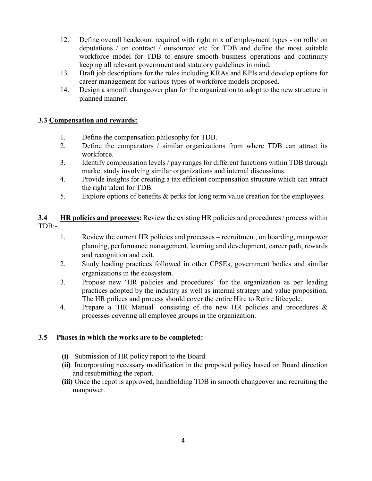- 12. Define overall headcount required with right mix of employment types on rolls/ on deputations / on contract / outsourced etc for TDB and define the most suitable workforce model for TDB to ensure smooth business operations and continuity keeping all relevant government and statutory guidelines in mind.
- 13. Draft job descriptions for the roles including KRAs and KPIs and develop options for career management for various types of workforce models proposed.
- 14. Design a smooth changeover plan for the organization to adopt to the new structure in planned manner.

### 3.3 Compensation and rewards:

- 1. Define the compensation philosophy for TDB.
- 2. Define the comparators / similar organizations from where TDB can attract its workforce.
- 3. Identify compensation levels / pay ranges for different functions within TDB through market study involving similar organizations and internal discussions.
- 4. Provide insights for creating a tax efficient compensation structure which can attract the right talent for TDB.
- 5. Explore options of benefits & perks for long term value creation for the employees.

3.4 HR policies and processes: Review the existing HR policies and procedures / process within TDB:-

- 1. Review the current HR policies and processes recruitment, on boarding, manpower planning, performance management, learning and development, career path, rewards and recognition and exit.
- 2. Study leading practices followed in other CPSEs, government bodies and similar organizations in the ecosystem.
- 3. Propose new 'HR policies and procedures' for the organization as per leading practices adopted by the industry as well as internal strategy and value proposition. The HR polices and process should cover the entire Hire to Retire lifecycle.
- 4. Prepare a 'HR Manual' consisting of the new HR policies and procedures & processes covering all employee groups in the organization.

#### 3.5 Phases in which the works are to be completed:

- (i) Submission of HR policy report to the Board.
- (ii) Incorporating necessary modification in the proposed policy based on Board direction and resubmitting the report.
- (iii) Once the repot is approved, handholding TDB in smooth changeover and recruiting the manpower.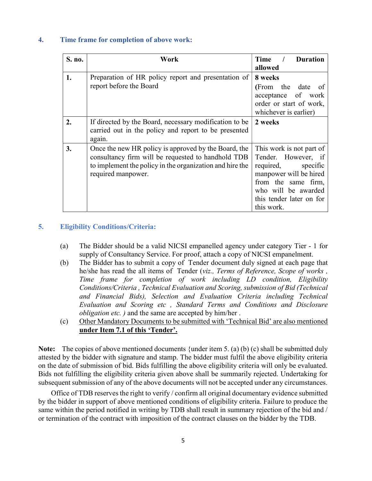#### 4. Time frame for completion of above work:

| S. no. | Work                                                                                                                                                                                         | Time<br><b>Duration</b><br>allowed                                                                                                                                                         |
|--------|----------------------------------------------------------------------------------------------------------------------------------------------------------------------------------------------|--------------------------------------------------------------------------------------------------------------------------------------------------------------------------------------------|
| 1.     | Preparation of HR policy report and presentation of<br>report before the Board                                                                                                               | 8 weeks<br>(From the date of<br>acceptance of work<br>order or start of work,<br>whichever is earlier)                                                                                     |
| 2.     | If directed by the Board, necessary modification to be<br>carried out in the policy and report to be presented<br>again.                                                                     | 2 weeks                                                                                                                                                                                    |
| 3.     | Once the new HR policy is approved by the Board, the<br>consultancy firm will be requested to handhold TDB<br>to implement the policy in the organization and hire the<br>required manpower. | This work is not part of<br>Tender. However, if<br>required,<br>specific<br>manpower will be hired<br>from the same firm,<br>who will be awarded<br>this tender later on for<br>this work. |

#### 5. Eligibility Conditions/Criteria:

- (a) The Bidder should be a valid NICSI empanelled agency under category Tier 1 for supply of Consultancy Service. For proof, attach a copy of NICSI empanelment.
- (b) The Bidder has to submit a copy of Tender document duly signed at each page that he/she has read the all items of Tender (viz., Terms of Reference, Scope of works, Time frame for completion of work including LD condition, Eligibility Conditions/Criteria , Technical Evaluation and Scoring, submission of Bid (Technical and Financial Bids), Selection and Evaluation Criteria including Technical Evaluation and Scoring etc , Standard Terms and Conditions and Disclosure *obligation etc.* ) and the same are accepted by him/her.
- (c) Other Mandatory Documents to be submitted with 'Technical Bid' are also mentioned under Item 7.1 of this 'Tender'.

Note: The copies of above mentioned documents {under item 5. (a) (b) (c) shall be submitted duly attested by the bidder with signature and stamp. The bidder must fulfil the above eligibility criteria on the date of submission of bid. Bids fulfilling the above eligibility criteria will only be evaluated. Bids not fulfilling the eligibility criteria given above shall be summarily rejected. Undertaking for subsequent submission of any of the above documents will not be accepted under any circumstances.

 Office of TDB reserves the right to verify / confirm all original documentary evidence submitted by the bidder in support of above mentioned conditions of eligibility criteria. Failure to produce the same within the period notified in writing by TDB shall result in summary rejection of the bid and / or termination of the contract with imposition of the contract clauses on the bidder by the TDB.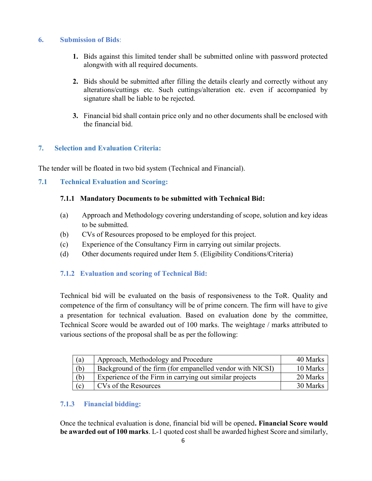### 6. Submission of Bids:

- 1. Bids against this limited tender shall be submitted online with password protected alongwith with all required documents.
- 2. Bids should be submitted after filling the details clearly and correctly without any alterations/cuttings etc. Such cuttings/alteration etc. even if accompanied by signature shall be liable to be rejected.
- 3. Financial bid shall contain price only and no other documents shall be enclosed with the financial bid.

### 7. Selection and Evaluation Criteria:

The tender will be floated in two bid system (Technical and Financial).

### 7.1 Technical Evaluation and Scoring:

### 7.1.1 Mandatory Documents to be submitted with Technical Bid:

- (a) Approach and Methodology covering understanding of scope, solution and key ideas to be submitted.
- (b) CVs of Resources proposed to be employed for this project.
- (c) Experience of the Consultancy Firm in carrying out similar projects.
- (d) Other documents required under Item 5. (Eligibility Conditions/Criteria)

### 7.1.2 Evaluation and scoring of Technical Bid:

 Technical bid will be evaluated on the basis of responsiveness to the ToR. Quality and competence of the firm of consultancy will be of prime concern. The firm will have to give a presentation for technical evaluation. Based on evaluation done by the committee, Technical Score would be awarded out of 100 marks. The weightage / marks attributed to various sections of the proposal shall be as per the following:

| (a) | Approach, Methodology and Procedure                       | 40 Marks |
|-----|-----------------------------------------------------------|----------|
| (b) | Background of the firm (for empanelled vendor with NICSI) | 10 Marks |
| (b) | Experience of the Firm in carrying out similar projects   | 20 Marks |
| (c) | CVs of the Resources                                      | 30 Marks |

### 7.1.3 Financial bidding:

Once the technical evaluation is done, financial bid will be opened. Financial Score would be awarded out of 100 marks. L-1 quoted cost shall be awarded highest Score and similarly,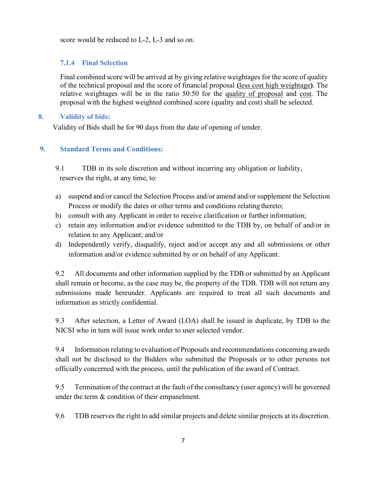score would be reduced to L-2, L-3 and so on.

### 7.1.4 Final Selection

Final combined score will be arrived at by giving relative weightages for the score of quality of the technical proposal and the score of financial proposal (less cost high weightage). The relative weightages will be in the ratio 50:50 for the quality of proposal and cost. The proposal with the highest weighted combined score (quality and cost) shall be selected.

#### 8. Validity of bids:

Validity of Bids shall be for 90 days from the date of opening of tender.

### 9. Standard Terms and Conditions:

9.1 TDB in its sole discretion and without incurring any obligation or liability, reserves the right, at any time, to:

- a) suspend and/or cancel the Selection Process and/or amend and/or supplement the Selection Process or modify the dates or other terms and conditions relating thereto;
- b) consult with any Applicant in order to receive clarification or further information;
- c) retain any information and/or evidence submitted to the TDB by, on behalf of and/or in relation to any Applicant; and/or
- d) Independently verify, disqualify, reject and/or accept any and all submissions or other information and/or evidence submitted by or on behalf of any Applicant.

9.2 All documents and other information supplied by the TDB or submitted by an Applicant shall remain or become, as the case may be, the property of the TDB. TDB will not return any submissions made hereunder. Applicants are required to treat all such documents and information as strictly confidential.

9.3 After selection, a Letter of Award (LOA) shall be issued in duplicate, by TDB to the NICSI who in turn will issue work order to user selected vendor.

9.4 Information relating to evaluation of Proposals and recommendations concerning awards shall not be disclosed to the Bidders who submitted the Proposals or to other persons not officially concerned with the process, until the publication of the award of Contract.

9.5 Termination of the contract at the fault of the consultancy (user agency) will be governed under the term & condition of their empanelment.

9.6 TDB reserves the right to add similar projects and delete similar projects at its discretion.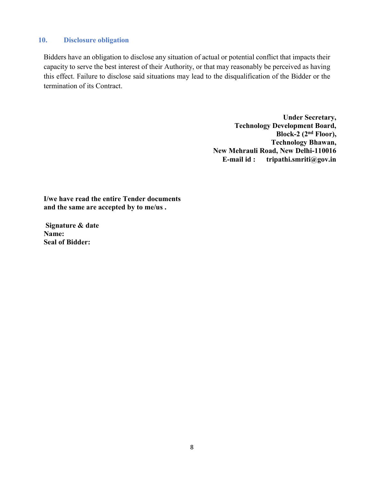#### 10. Disclosure obligation

Bidders have an obligation to disclose any situation of actual or potential conflict that impacts their capacity to serve the best interest of their Authority, or that may reasonably be perceived as having this effect. Failure to disclose said situations may lead to the disqualification of the Bidder or the termination of its Contract.

> Under Secretary, Technology Development Board, Block-2 (2nd Floor), Technology Bhawan, New Mehrauli Road, New Delhi-110016 E-mail id : tripathi.smriti@gov.in

I/we have read the entire Tender documents and the same are accepted by to me/us .

 Signature & date Name: Seal of Bidder: